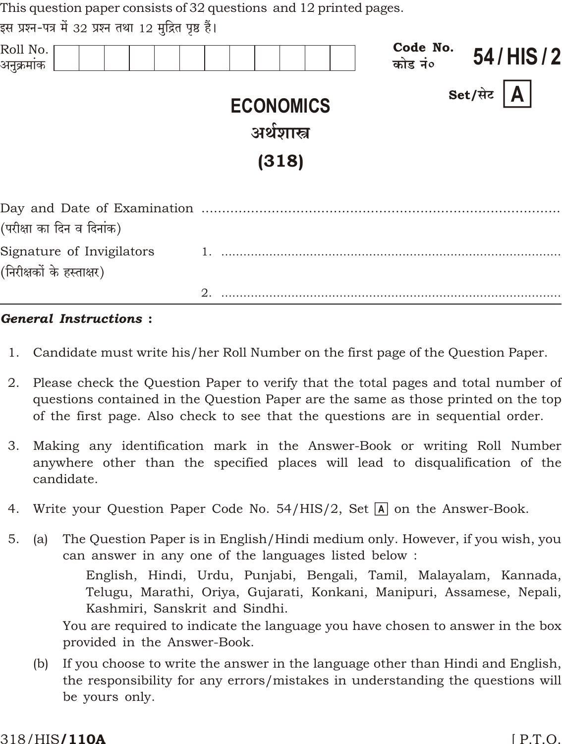| This question paper consists of 32 questions and 12 printed pages. |                                          |                                 |
|--------------------------------------------------------------------|------------------------------------------|---------------------------------|
| इस प्रश्न-पत्र में 32 प्रश्न तथा 12 मुद्रित पृष्ठ हैं।             |                                          |                                 |
| Roll No.<br>अनुक्रमांक                                             |                                          | Code No.<br>54/HIS/2<br>कोड नं० |
|                                                                    | <b>ECONOMICS</b><br>अर्थशास्त्र<br>(318) | Set/सेट<br>A.                   |
| (परीक्षा का दिन व दिनांक)                                          |                                          |                                 |
| Signature of Invigilators<br>(निरीक्षकों के हस्ताक्षर)             |                                          |                                 |
|                                                                    | 2.                                       |                                 |

### **General Instructions:**

- $1.$ Candidate must write his/her Roll Number on the first page of the Question Paper.
- 2. Please check the Question Paper to verify that the total pages and total number of questions contained in the Question Paper are the same as those printed on the top of the first page. Also check to see that the questions are in sequential order.
- Making any identification mark in the Answer-Book or writing Roll Number 3. anywhere other than the specified places will lead to disqualification of the candidate.
- 4. Write your Question Paper Code No. 54/HIS/2, Set  $\overline{A}$  on the Answer-Book.
- $5<sub>1</sub>$ The Question Paper is in English/Hindi medium only. However, if you wish, you  $(a)$ can answer in any one of the languages listed below:

English, Hindi, Urdu, Punjabi, Bengali, Tamil, Malayalam, Kannada, Telugu, Marathi, Oriya, Gujarati, Konkani, Manipuri, Assamese, Nepali, Kashmiri, Sanskrit and Sindhi.

You are required to indicate the language you have chosen to answer in the box provided in the Answer-Book.

If you choose to write the answer in the language other than Hindi and English,  $(b)$ the responsibility for any errors/mistakes in understanding the questions will be yours only.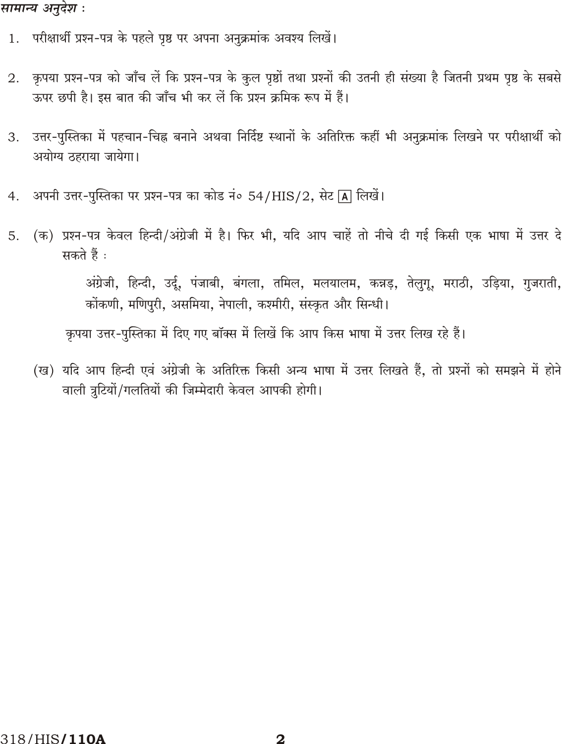# सामान्य अनुदेश :

- 1. परीक्षार्थी प्रश्न-पत्र के पहले पृष्ठ पर अपना अनुक्रमांक अवश्य लिखें।
- कृपया प्रश्न-पत्र को जाँच लें कि प्रश्न-पत्र के कुल पृष्ठों तथा प्रश्नों की उतनी ही संख्या है जितनी प्रथम पृष्ठ के सबसे 2. ऊपर छपी है। इस बात की जाँच भी कर लें कि प्रश्न क्रमिक रूप में हैं।
- उत्तर-पुस्तिका में पहचान-चिह्न बनाने अथवा निर्दिष्ट स्थानों के अतिरिक्त कहीं भी अनुक्रमांक लिखने पर परीक्षार्थी को 3. अयोग्य ठहराया जायेगा।
- अपनी उत्तर-पुस्तिका पर प्रश्न-पत्र का कोड नं० 54/HIS/2, सेट [A] लिखें।  $4.$
- (क) प्रश्न-पत्र केवल हिन्दी/अंग्रेजी में है। फिर भी, यदि आप चाहें तो नीचे दी गई किसी एक भाषा में उत्तर दे 5. सकते हैं :

अंग्रेजी, हिन्दी, उर्दू, पंजाबी, बंगला, तमिल, मलयालम, कन्नड़, तेलुगू, मराठी, उड़िया, गुजराती, कोंकणी, मणिपुरी, असमिया, नेपाली, कश्मीरी, संस्कृत और सिन्धी।

कृपया उत्तर-पुस्तिका में दिए गए बॉक्स में लिखें कि आप किस भाषा में उत्तर लिख रहे हैं।

(ख) यदि आप हिन्दी एवं अंग्रेजी के अतिरिक्त किसी अन्य भाषा में उत्तर लिखते हैं, तो प्रश्नों को समझने में होने वाली त्रुटियों/गलतियों की जिम्मेदारी केवल आपकी होगी।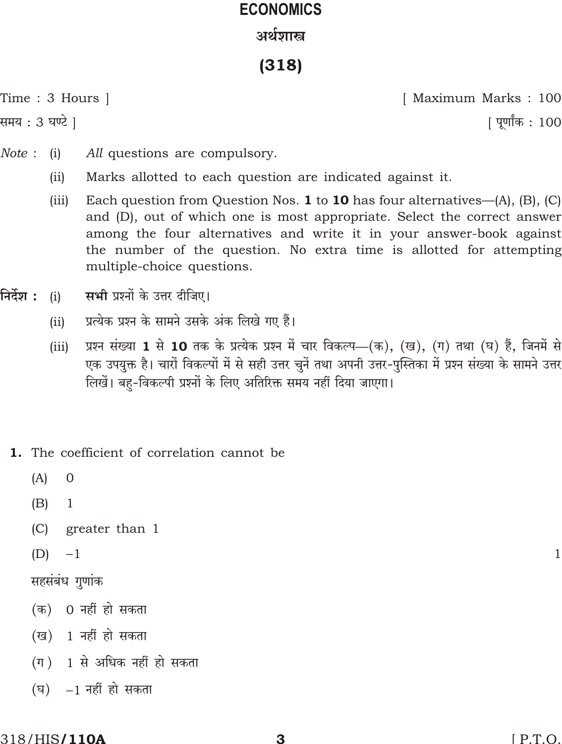# **ECONOMICS** अर्थशास्त्र

 $(318)$ 

Time : 3 Hours |

समय : 3 घण्टे ]

[ Maximum Marks : 100

| पूर्णांक : 100

- $Note:$  $(i)$ All questions are compulsory.
	- $(ii)$ Marks allotted to each question are indicated against it.
	- $(iii)$ Each question from Question Nos. **1** to **10** has four alternatives— $(A)$ ,  $(B)$ ,  $(C)$ and (D), out of which one is most appropriate. Select the correct answer among the four alternatives and write it in your answer-book against the number of the question. No extra time is allotted for attempting multiple-choice questions.
- निर्देश : सभी प्रश्नों के उत्तर दीजिए।  $(i)$ 
	- प्रत्येक प्रश्न के सामने उसके अंक लिखे गए हैं।  $(ii)$
	- प्रश्न संख्या 1 से 10 तक के प्रत्येक प्रश्न में चार विकल्प—(क), (ख), (ग) तथा (घ) हैं, जिनमें से  $(iii)$ एक उपयुक्त है। चारों विकल्पों में से सही उत्तर चुनें तथा अपनी उत्तर-पुस्तिका में प्रश्न संख्या के सामने उत्तर लिखें। बहु-विकल्पी प्रश्नों के लिए अतिरिक्त समय नहीं दिया जाएगा।
	- 1. The coefficient of correlation cannot be
		- $(A)$  $\theta$
		- $(B)$ 1
		- $(C)$ greater than 1
		- $(D)$ 1

सहसंबंध गुणांक

- (क) 0 नहीं हो सकता
- (ख) 1 नहीं हो सकता
- $(\pi)$  1 से अधिक नहीं हो सकता
- 1 नहीं हो सकता  $(\overline{\mathbf{F}})$

 $\mathbf 1$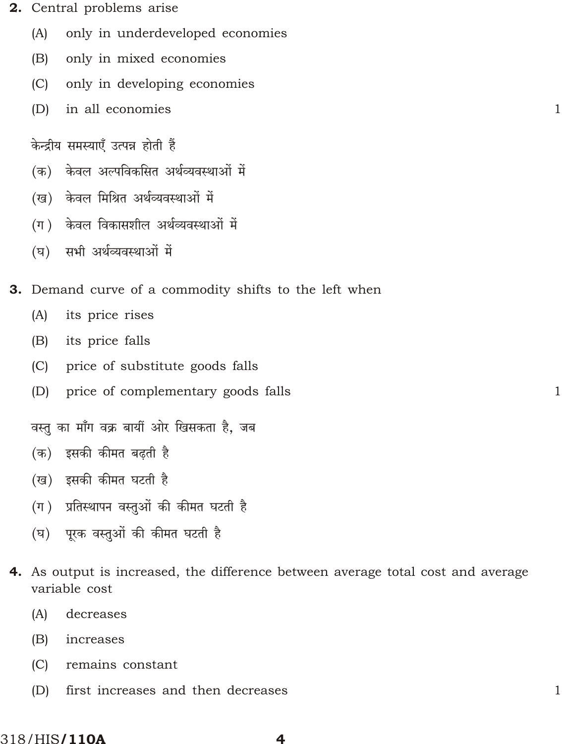- 2. Central problems arise
	- only in underdeveloped economies  $(A)$
	- only in mixed economies  $(B)$
	- $(C)$ only in developing economies
	- $(D)$ in all economies

केन्द्रीय समस्याएँ उत्पन्न होती हैं

- केवल अल्पविकसित अर्थव्यवस्थाओं में (क)
- (ख) केवल मिश्रित अर्थव्यवस्थाओं में
- (ग) केवल विकासशील अर्थव्यवस्थाओं में
- (घ) सभी अर्थव्यवस्थाओं में
- 3. Demand curve of a commodity shifts to the left when
	- $(A)$ its price rises
	- its price falls  $(B)$
	- price of substitute goods falls  $(C)$
	- price of complementary goods falls  $(D)$

वस्तु का माँग वक्र बायीं ओर खिसकता है. जब

- (क) इसकी कीमत बढ़ती है
- (ख) इसकी कीमत घटती है
- (ग) प्रतिस्थापन वस्तुओं की कीमत घटती है
- (घ) पूरक वस्तुओं की कीमत घटती है
- 4. As output is increased, the difference between average total cost and average variable cost

 $\mathbf{1}$ 

 $\mathbf{1}$ 

 $\mathbf{1}$ 

- $(A)$ decreases
- $(B)$ increases
- $(C)$ remains constant
- $(D)$ first increases and then decreases

 $\overline{\mathbf{4}}$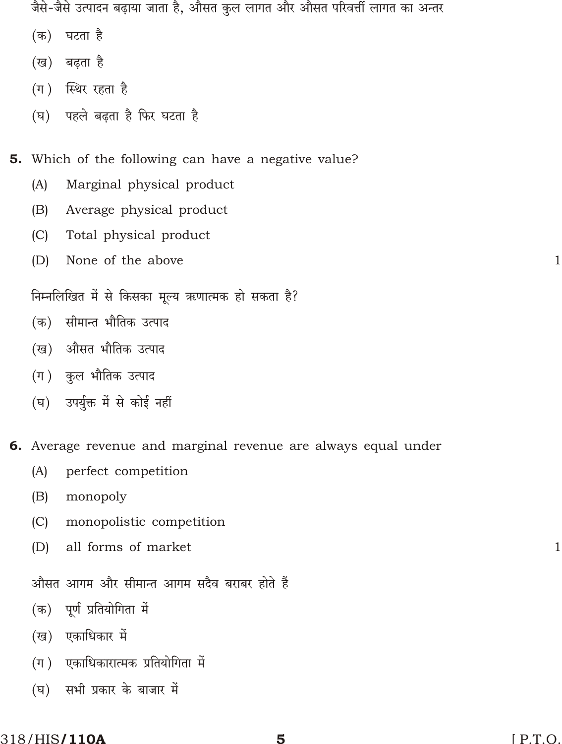जैसे-जैसे उत्पादन बढ़ाया जाता है, औसत कुल लागत और औसत परिवर्त्ती लागत का अन्तर

- घटता है  $(\overline{a})$
- (ख) बढ़ता है
- (ग) स्थिर रहता है
- (घ) पहले बढता है फिर घटता है

5. Which of the following can have a negative value?

- Marginal physical product  $(A)$
- Average physical product  $(B)$
- $(C)$ Total physical product
- $(D)$ None of the above

निम्नलिखित में से किसका मूल्य ऋणात्मक हो सकता है?

- सीमान्त भौतिक उत्पाद  $(\overline{\Phi})$
- (ख) औसत भौतिक उत्पाद
- (ग) कुल भौतिक उत्पाद
- (घ) उपर्युक्त में से कोई नहीं

6. Average revenue and marginal revenue are always equal under

- perfect competition  $(A)$
- monopoly  $(B)$
- monopolistic competition  $(C)$
- all forms of market  $(D)$

औसत आगम और सीमान्त आगम सदैव बराबर होते हैं

- (क) पूर्ण प्रतियोगिता में
- (ख) एकाधिकार में
- (ग) एकाधिकारात्मक प्रतियोगिता में
- $(\vec{p})$ सभी प्रकार के बाजार में

 $\mathbf{1}$ 

 $\mathbf{1}$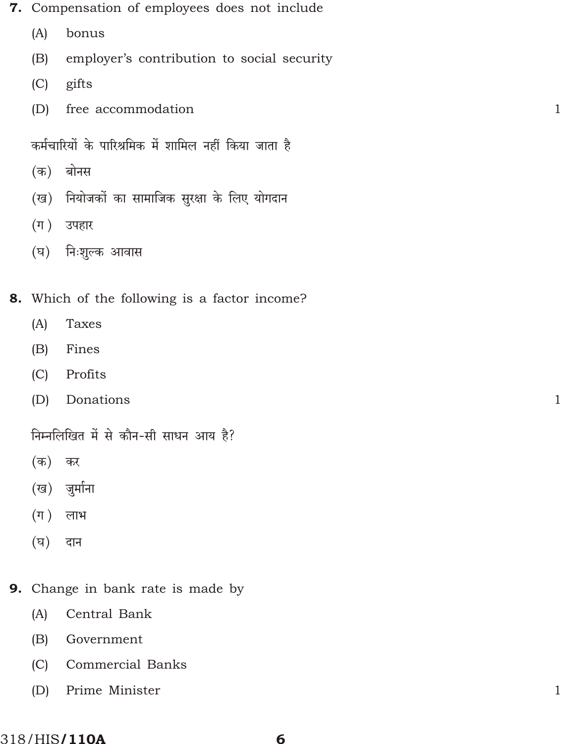- 7. Compensation of employees does not include
	- (A) bonus
	- (B) employer's contribution to social security
	- (C) gifts
	- (D) free accommodation 1

कर्मचारियों के पारिश्रमिक में शामिल नहीं किया जाता है

- $($ क) बोनस
- (ख) नियोजकों का सामाजिक सुरक्षा के लिए योगदान
- $(\bar{\eta})$  उपहार
- (घ) निःशूल्क आवास
- 8. Which of the following is a factor income?
	- (A) Taxes
	- (B) Fines
	- (C) Profits
	- (D) Donations 1

त्तिम्नलिखित में से कौन-सी साधन आय है?

- (क) कर
- (ख) जुर्माना
- $(\Pi)$  लाभ
- $(\overline{v})$  दान
- 9. Change in bank rate is made by
	- (A) Central Bank
	- (B) Government
	- (C) Commercial Banks
	- (D) Prime Minister 1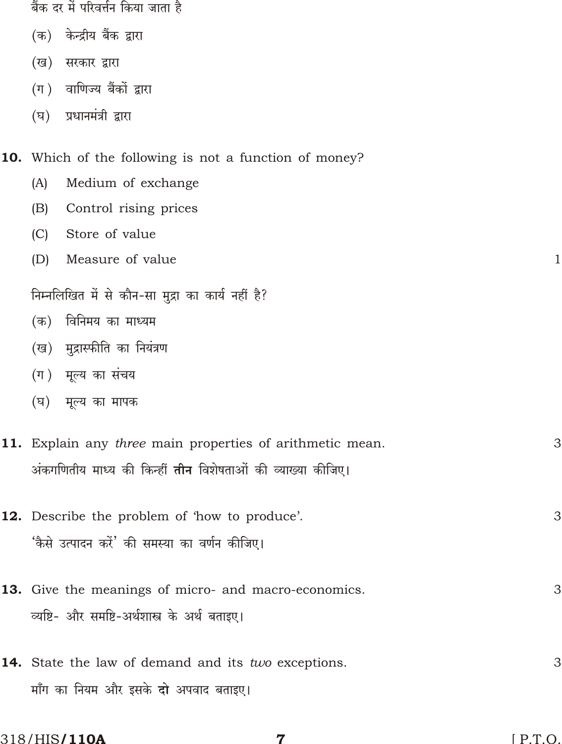|         | बैंक दर में परिवर्त्तन किया जाता है                                |              |
|---------|--------------------------------------------------------------------|--------------|
| (क)     | केन्द्रीय बैंक द्वारा                                              |              |
| (ख)     | सरकार द्वारा                                                       |              |
| $(\pi)$ | वाणिज्य बैंकों द्वारा                                              |              |
| (घ)     | प्रधानमंत्री द्वारा                                                |              |
|         | <b>10.</b> Which of the following is not a function of money?      |              |
| (A)     | Medium of exchange                                                 |              |
| (B)     | Control rising prices                                              |              |
| (C)     | Store of value                                                     |              |
| (D)     | Measure of value                                                   | $\mathbf{1}$ |
|         | निम्नलिखित में से कौन-सा मुद्रा का कार्य नहीं है?                  |              |
| (क)     | विनिमय का माध्यम                                                   |              |
| (ख)     | मुद्रास्फीति का नियंत्रण                                           |              |
|         | (ग) मूल्य का संचय                                                  |              |
| (घ)     | मूल्य का मापक                                                      |              |
|         | 11. Explain any three main properties of arithmetic mean.          | 3            |
|         | अंकगणितीय माध्य की किन्हीं <b>तीन</b> विशेषताओं की व्याख्या कीजिए। |              |
|         | 12. Describe the problem of 'how to produce'.                      | 3            |
|         | 'कैसे उत्पादन करें' की समस्या का वर्णन कीजिए।                      |              |
|         |                                                                    |              |
|         | 13. Give the meanings of micro- and macro-economics.               | 3            |
|         | व्यष्टि- और समष्टि-अर्थशास्त्र के अर्थ बताइए।                      |              |
|         | 14. State the law of demand and its two exceptions.                | 3            |
|         | माँग का नियम और इसके <b>दो</b> अपवाद बताइए।                        |              |
|         |                                                                    |              |

 $\overline{7}$ 

318/HIS/110A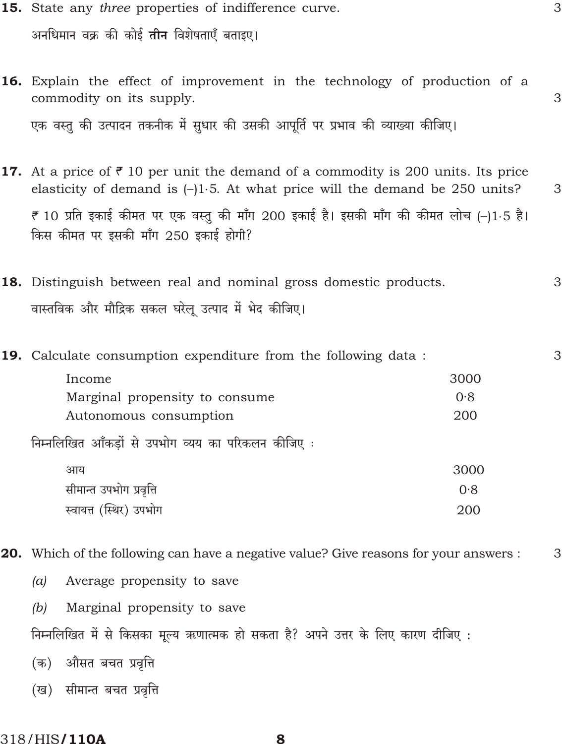- 15. State any three properties of indifference curve. 3 अनधिमान वक्र की कोई तीन विशेषताएँ बताइए।
- 16. Explain the effect of improvement in the technology of production of a commodity on its supply. 3 एक वस्तु की उत्पादन तकनीक में सुधार की उसकी आपूर्ति पर प्रभाव की व्याख्या कीजिए।
- **17.** At a price of  $\bar{\tau}$  10 per unit the demand of a commodity is 200 units. Its price elasticity of demand is ()15. At what price will the demand be 250 units? 3 ₹ 10 प्रति इकाई कीमत पर एक वस्तु की माँग 200 इकाई है। इसकी माँग की कीमत लोच ( )1 5 है। किस कीमत पर इसकी माँग 250 इकाई होगी?
- 18. Distinguish between real and nominal gross domestic products. 3 वास्तविक और मौद्रिक सकल घरेलू उत्पाद में भेद कीजिए।
- 19. Calculate consumption expenditure from the following data: 3 Income 3000 Marginal propensity to consume  $0.8$ 200 Autonomous consumption निम्नलिखित आँकड़ों से उपभोग व्यय का परिकलन कीजिए : अाय 3000 सीमान्त उपभोग प्रवृत्ति  $0.8$ 
	- स्वायत्त (स्थिर) उपभोग 200
- **20.** Which of the following can have a negative value? Give reasons for your answers : 3
	- $(a)$ Average propensity to save
	- Marginal propensity to save  $(b)$
	- निम्नलिखित में से किसका मूल्य ऋणात्मक हो सकता है? अपने उत्तर के लिए कारण दीजिए :
	- (क) औसत बचत प्रवृत्ति
	- (ख) सीमान्त बचत प्रवृत्ति

#### 318/HIS**/110A**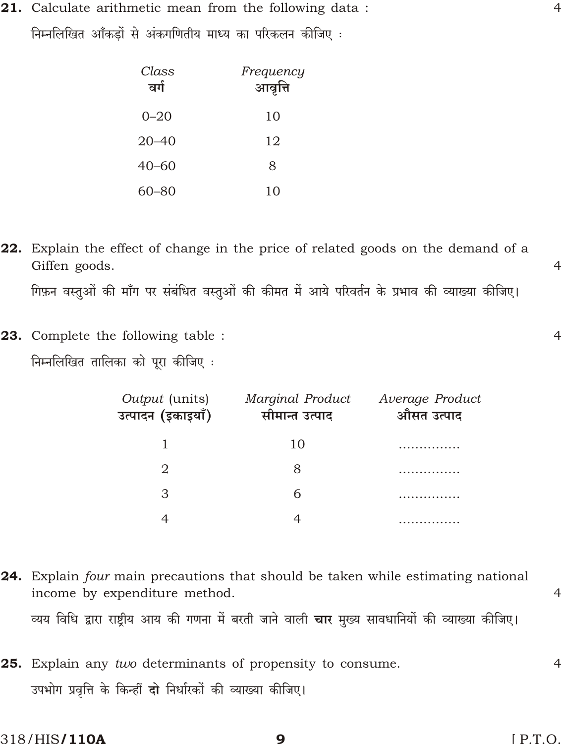21. Calculate arithmetic mean from the following data : निम्नलिखित आँकडों से अंकगणितीय माध्य का परिकलन कीजिए :

| Class<br>वर्ग | Frequency<br>आवृत्ति |
|---------------|----------------------|
| $0 - 20$      | 10                   |
| $20 - 40$     | 12                   |
| $40 - 60$     | 8                    |
| 60–80         | 10                   |

- 22. Explain the effect of change in the price of related goods on the demand of a Giffen goods. गिफ़न वस्तुओं की माँग पर संबंधित वस्तुओं की कीमत में आये परिवर्तन के प्रभाव की व्याख्या कीजिए।
- 23. Complete the following table : निम्नलिखित तालिका को पूरा कीजिए :

| <i>Output</i> (units)<br>उत्पादन (इकाइयाँ) | Marginal Product<br>सीमान्त उत्पाद | Average Product<br>औसत उत्पाद |
|--------------------------------------------|------------------------------------|-------------------------------|
|                                            | 10                                 |                               |
| 2                                          | 8                                  |                               |
|                                            | 6                                  |                               |
|                                            |                                    |                               |

24. Explain four main precautions that should be taken while estimating national income by expenditure method. व्यय विधि द्वारा राष्ट्रीय आय की गणना में बरती जाने वाली **चार** मुख्य सावधानियों की व्याख्या कीजिए।

25. Explain any two determinants of propensity to consume.  $\overline{4}$ उपभोग प्रवृत्ति के किन्हीं दो निर्धारकों की व्याख्या कीजिए।

9

318/HIS**/110A** 

 $\overline{4}$ 

 $\overline{4}$ 

 $\overline{4}$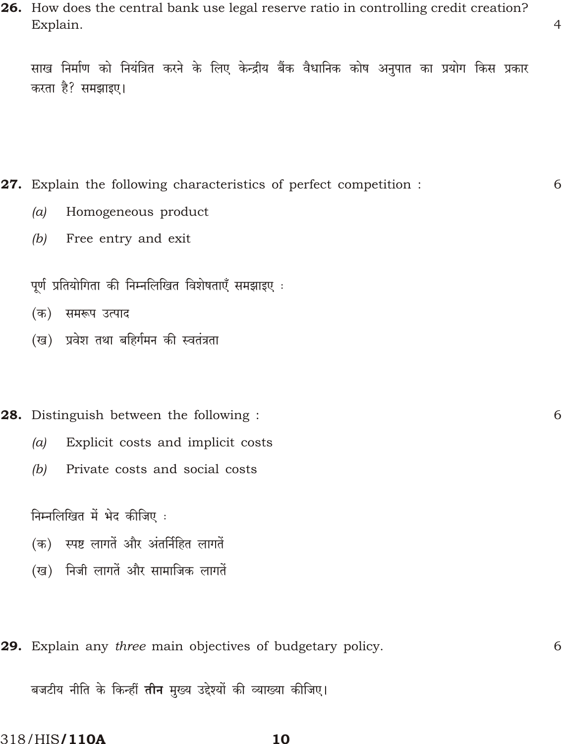26. How does the central bank use legal reserve ratio in controlling credit creation? Explain.

 $\overline{4}$ 

6

6

6

साख निर्माण को नियंत्रित करने के लिए केन्द्रीय बैंक वैधानिक कोष अनुपात का प्रयोग किस प्रकार करता है? समझाइए।

- 27. Explain the following characteristics of perfect competition:
	- Homogeneous product  $(a)$
	- (b) Free entry and exit

पूर्ण प्रतियोगिता की निम्नलिखित विशेषताएँ समझाइए :

- (क) समरूप उत्पाद
- (ख) प्रवेश तथा बहिर्गमन की स्वतंत्रता

## 28. Distinguish between the following:

- Explicit costs and implicit costs  $(a)$
- $(b)$ Private costs and social costs

निम्नलिखित में भेद कीजिए :

- (क) स्पष्ट लागतें और अंतर्निहित लागतें
- (ख) निजी लागतें और सामाजिक लागतें
- 29. Explain any three main objectives of budgetary policy.

बजटीय नीति के किन्हीं **तीन** मुख्य उद्देश्यों की व्याख्या कीजिए।

318/HIS**/110A**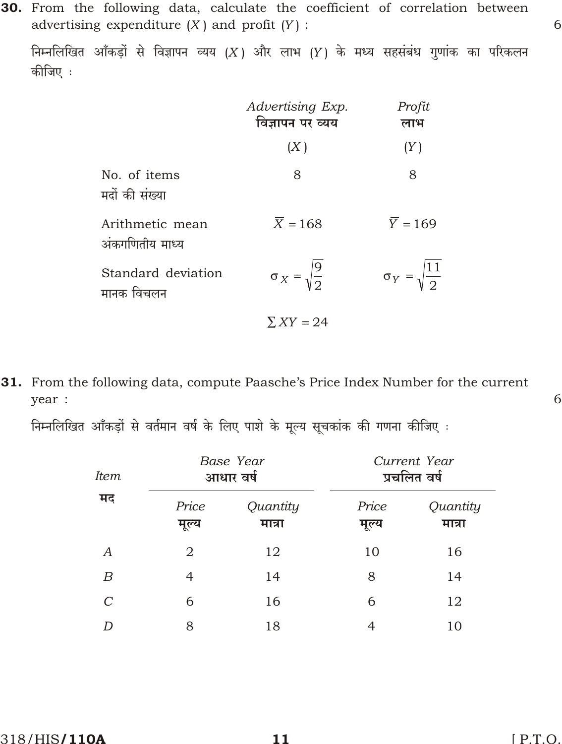निम्नलिखित आँकड़ों से विज्ञापन व्यय (X) और लाभ (Y) के मध्य सहसंबंध गुणांक का परिकलन कीजिए :

|                                    | Advertising Exp.<br>विज्ञापन पर व्यय | Profit<br>लाभ             |  |
|------------------------------------|--------------------------------------|---------------------------|--|
|                                    | (X)                                  | (Y)                       |  |
| No. of items<br>मदों की संख्या     | 8                                    | 8                         |  |
| Arithmetic mean<br>अंकगणितीय माध्य | $\overline{X}$ 168                   | $\overline{Y}$ 169        |  |
| Standard deviation<br>मानक विचलन   | $X = \sqrt{\frac{9}{2}}$             | $Y = \sqrt{\frac{11}{2}}$ |  |
|                                    | XY 24                                |                           |  |

31. From the following data, compute Paasche's Price Index Number for the current year :

निम्नलिखित आँकड़ों से वर्तमान वर्ष के लिए पाशे के मूल्य सूचकांक की गणना कीजिए :

| <i>Item</i><br>मद | Base Year<br>आधार वर्ष |                    | Current Year<br>प्रचलित वर्ष |                    |
|-------------------|------------------------|--------------------|------------------------------|--------------------|
|                   | Price<br>मूल्य         | Quantity<br>मात्रा | Price<br>मूल्य               | Quantity<br>मात्रा |
| А                 | 2                      | 12                 | 10                           | 16                 |
| B                 | 4                      | 14                 | 8                            | 14                 |
| $\mathcal{C}$     | 6                      | 16                 | 6                            | 12                 |
|                   | 8                      | 18                 | 4                            | 10                 |

6